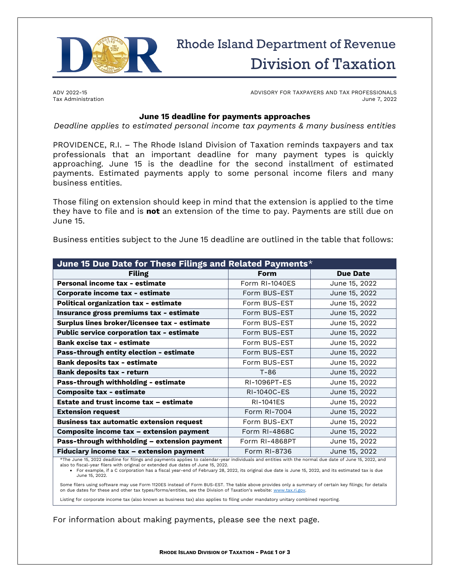

# Rhode Island Department of Revenue Division of Taxation

ADV 2022-15 Tax Administration ADVISORY FOR TAXPAYERS AND TAX PROFESSIONALS June 7, 2022

## **June 15 deadline for payments approaches**

*Deadline applies to estimated personal income tax payments & many business entities*

PROVIDENCE, R.I. – The Rhode Island Division of Taxation reminds taxpayers and tax professionals that an important deadline for many payment types is quickly approaching. June 15 is the deadline for the second installment of estimated payments. Estimated payments apply to some personal income filers and many business entities.

Those filing on extension should keep in mind that the extension is applied to the time they have to file and is **not** an extension of the time to pay. Payments are still due on June 15.

Business entities subject to the June 15 deadline are outlined in the table that follows:

| June 15 Due Date for These Filings and Related Payments*                                                                                              |                     |                 |
|-------------------------------------------------------------------------------------------------------------------------------------------------------|---------------------|-----------------|
| <b>Filing</b>                                                                                                                                         | <b>Form</b>         | <b>Due Date</b> |
| Personal income tax - estimate                                                                                                                        | Form RI-1040ES      | June 15, 2022   |
| Corporate income tax - estimate                                                                                                                       | Form BUS-EST        | June 15, 2022   |
| <b>Political organization tax - estimate</b>                                                                                                          | Form BUS-EST        | June 15, 2022   |
| Insurance gross premiums tax - estimate                                                                                                               | Form BUS-EST        | June 15, 2022   |
| Surplus lines broker/licensee tax - estimate                                                                                                          | Form BUS-EST        | June 15, 2022   |
| Public service corporation tax - estimate                                                                                                             | Form BUS-EST        | June 15, 2022   |
| <b>Bank excise tax - estimate</b>                                                                                                                     | Form BUS-EST        | June 15, 2022   |
| Pass-through entity election - estimate                                                                                                               | Form BUS-EST        | June 15, 2022   |
| <b>Bank deposits tax - estimate</b>                                                                                                                   | Form BUS-EST        | June 15, 2022   |
| <b>Bank deposits tax - return</b>                                                                                                                     | T-86                | June 15, 2022   |
| Pass-through withholding - estimate                                                                                                                   | <b>RI-1096PT-ES</b> | June 15, 2022   |
| <b>Composite tax - estimate</b>                                                                                                                       | RI-1040C-ES         | June 15, 2022   |
| <b>Estate and trust income tax - estimate</b>                                                                                                         | <b>RI-1041ES</b>    | June 15, 2022   |
| <b>Extension request</b>                                                                                                                              | Form RI-7004        | June 15, 2022   |
| <b>Business tax automatic extension request</b>                                                                                                       | Form BUS-EXT        | June 15, 2022   |
| Composite income tax - extension payment                                                                                                              | Form RI-4868C       | June 15, 2022   |
| Pass-through withholding - extension payment                                                                                                          | Form RI-4868PT      | June 15, 2022   |
| Fiduciary income tax - extension payment                                                                                                              | Form RI-8736        | June 15, 2022   |
| *The lune 15, 2022 deadline for filings and nayments annlies to calendar-year individuals and entities with the normal due date of lune 15, 2022, and |                     |                 |

\*The June 15, 2022 deadline for filings and payments applies to calendar-year individuals and entities with the normal due date of June 15, 2022, and<br>also to fiscal-year filers with original or extended due dates of June 1

• For example, if a C corporation has a fiscal year-end of February 28, 2022, its original due date is June 15, 2022, and its estimated tax is due June 15, 2022.

Some filers using software may use Form 1120ES instead of Form BUS-EST. The table above provides only a summary of certain key filings; for details on due dates for these and other tax types/forms/entities, see the Division of Taxation's website: www.tax.

Listing for corporate income tax (also known as business tax) also applies to filing under mandatory unitary combined reporting.

For information about making payments, please see the next page.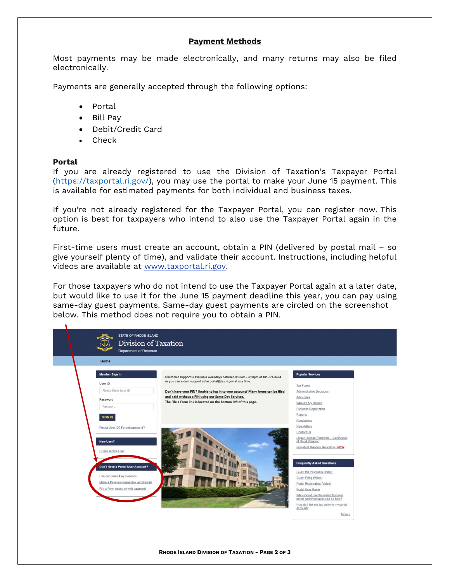## **Payment Methods**

Most payments may be made electronically, and many returns may also be filed electronically.

Payments are generally accepted through the following options:

- Portal
- Bill Pay
- Debit/Credit Card
- Check

## **Portal**

If you are already registered to use the Division of Taxation's Taxpayer Portal [\(https://taxportal.ri.gov/\)](https://taxportal.ri.gov/), you may use the portal to make your June 15 payment. This is available for estimated payments for both individual and business taxes.

If you're not already registered for the Taxpayer Portal, you can register now. This option is best for taxpayers who intend to also use the Taxpayer Portal again in the future.

First-time users must create an account, obtain a PIN (delivered by postal mail – so give yourself plenty of time), and validate their account. Instructions, including helpful videos are available at [www.taxportal.ri.gov.](https://taxportal.ri.gov/)

For those taxpayers who do not intend to use the Taxpayer Portal again at a later date, but would like to use it for the June 15 payment deadline this year, you can pay using same-day guest payments. Same-day guest payments are circled on the screenshot below. This method does not require you to obtain a PIN.